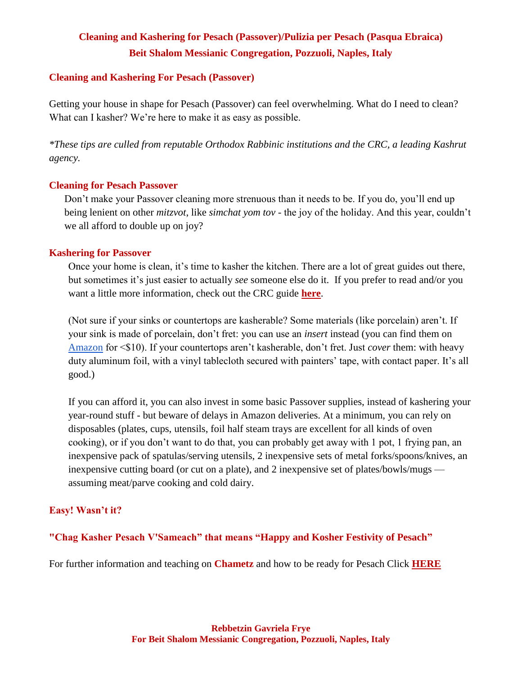# **Cleaning and Kashering for Pesach (Passover)/Pulizia per Pesach (Pasqua Ebraica) Beit Shalom Messianic Congregation, Pozzuoli, Naples, Italy**

#### **Cleaning and Kashering For Pesach (Passover)**

Getting your house in shape for Pesach (Passover) can feel overwhelming. What do I need to clean? What can I kasher? We're here to make it as easy as possible.

*\*These tips are culled from reputable Orthodox Rabbinic institutions and the CRC, a leading Kashrut agency.*

### **Cleaning for Pesach Passover**

Don't make your Passover cleaning more strenuous than it needs to be. If you do, you'll end up being lenient on other *mitzvot*, like *simchat yom tov* - the joy of the holiday. And this year, couldn't we all afford to double up on joy?

### **Kashering for Passover**

Once your home is clean, it's time to kasher the kitchen. There are a lot of great guides out there, but sometimes it's just easier to actually *see* someone else do it. If you prefer to read and/or you want a little more information, check out the CRC guide **[here](https://drive.google.com/file/d/1ZCHT-GIMfc3ewMV498heZvyrU2pRgoNB/view)**.

(Not sure if your sinks or countertops are kasherable? Some materials (like porcelain) aren't. If your sink is made of porcelain, don't fret: you can use an *insert* instead (you can find them on [Amazon](https://www.amazon.com/s?i=aps&k=sink%20basin&ref=nb_sb_noss_1&url=search-alias%3Daps) for <\$10). If your countertops aren't kasherable, don't fret. Just *cover* them: with heavy duty aluminum foil, with a vinyl tablecloth secured with painters' tape, with contact paper. It's all good.)

If you can afford it, you can also invest in some basic Passover supplies, instead of kashering your year-round stuff - but beware of delays in Amazon deliveries. At a minimum, you can rely on disposables (plates, cups, utensils, foil half steam trays are excellent for all kinds of oven cooking), or if you don't want to do that, you can probably get away with 1 pot, 1 frying pan, an inexpensive pack of spatulas/serving utensils, 2 inexpensive sets of metal forks/spoons/knives, an inexpensive cutting board (or cut on a plate), and 2 inexpensive set of plates/bowls/mugs assuming meat/parve cooking and cold dairy.

## **Easy! Wasn't it?**

**"Chag Kasher Pesach V'Sameach" that means "Happy and Kosher Festivity of Pesach"**

For further information and teaching on **Chametz** and how to be ready for Pesach Click **[HERE](https://youtu.be/htskD8_Wu8I)**